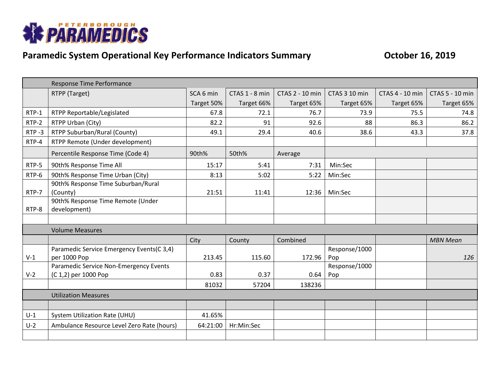

## **Paramedic System Operational Key Performance Indicators Summary Construment Construment Construment Construment Construment October 16, 2019**

|           | Response Time Performance                  |            |                |                 |               |                 |                 |
|-----------|--------------------------------------------|------------|----------------|-----------------|---------------|-----------------|-----------------|
|           | RTPP (Target)                              | SCA 6 min  | CTAS 1 - 8 min | CTAS 2 - 10 min | CTAS 3 10 min | CTAS 4 - 10 min | CTAS 5 - 10 min |
|           |                                            | Target 50% | Target 66%     | Target 65%      | Target 65%    | Target 65%      | Target 65%      |
| RTP-1     | RTPP Reportable/Legislated                 | 67.8       | 72.1           | 76.7            | 73.9          | 75.5            | 74.8            |
| RTP-2     | RTPP Urban (City)                          | 82.2       | 91             | 92.6            | 88            | 86.3            | 86.2            |
| $RTP - 3$ | RTPP Suburban/Rural (County)               | 49.1       | 29.4           | 40.6            | 38.6          | 43.3            | 37.8            |
| RTP-4     | RTPP Remote (Under development)            |            |                |                 |               |                 |                 |
|           | Percentile Response Time (Code 4)          | 90th%      | 50th%          | Average         |               |                 |                 |
| RTP-5     | 90th% Response Time All                    | 15:17      | 5:41           | 7:31            | Min:Sec       |                 |                 |
| RTP-6     | 90th% Response Time Urban (City)           | 8:13       | 5:02           | 5:22            | Min:Sec       |                 |                 |
|           | 90th% Response Time Suburban/Rural         |            |                |                 |               |                 |                 |
| RTP-7     | (County)                                   | 21:51      | 11:41          | 12:36           | Min:Sec       |                 |                 |
|           | 90th% Response Time Remote (Under          |            |                |                 |               |                 |                 |
| RTP-8     | development)                               |            |                |                 |               |                 |                 |
|           |                                            |            |                |                 |               |                 |                 |
|           | <b>Volume Measures</b>                     |            |                |                 |               |                 |                 |
|           |                                            | City       | County         | Combined        |               |                 | <b>MBN Mean</b> |
|           | Paramedic Service Emergency Events(C 3,4)  |            |                |                 | Response/1000 |                 |                 |
| $V-1$     | per 1000 Pop                               | 213.45     | 115.60         | 172.96          | Pop           |                 | 126             |
|           | Paramedic Service Non-Emergency Events     |            |                |                 | Response/1000 |                 |                 |
| $V-2$     | (C 1,2) per 1000 Pop                       | 0.83       | 0.37           | 0.64            | Pop           |                 |                 |
|           |                                            | 81032      | 57204          | 138236          |               |                 |                 |
|           | <b>Utilization Measures</b>                |            |                |                 |               |                 |                 |
|           |                                            |            |                |                 |               |                 |                 |
| $U-1$     | <b>System Utilization Rate (UHU)</b>       | 41.65%     |                |                 |               |                 |                 |
| $U-2$     | Ambulance Resource Level Zero Rate (hours) | 64:21:00   | Hr:Min:Sec     |                 |               |                 |                 |
|           |                                            |            |                |                 |               |                 |                 |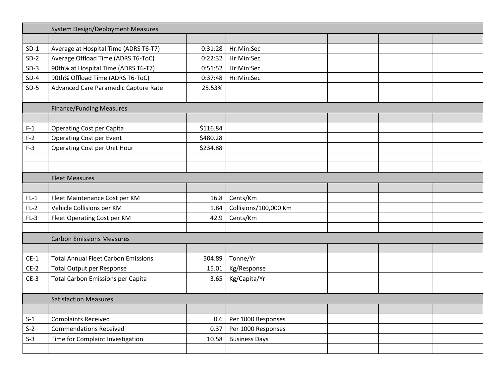|        | <b>System Design/Deployment Measures</b>   |          |                       |  |  |  |  |  |
|--------|--------------------------------------------|----------|-----------------------|--|--|--|--|--|
|        |                                            |          |                       |  |  |  |  |  |
| $SD-1$ | Average at Hospital Time (ADRS T6-T7)      | 0:31:28  | Hr:Min:Sec            |  |  |  |  |  |
| $SD-2$ | Average Offload Time (ADRS T6-ToC)         | 0:22:32  | Hr:Min:Sec            |  |  |  |  |  |
| $SD-3$ | 90th% at Hospital Time (ADRS T6-T7)        | 0:51:52  | Hr:Min:Sec            |  |  |  |  |  |
| $SD-4$ | 90th% Offload Time (ADRS T6-ToC)           | 0:37:48  | Hr:Min:Sec            |  |  |  |  |  |
| $SD-5$ | Advanced Care Paramedic Capture Rate       | 25.53%   |                       |  |  |  |  |  |
|        |                                            |          |                       |  |  |  |  |  |
|        | <b>Finance/Funding Measures</b>            |          |                       |  |  |  |  |  |
|        |                                            |          |                       |  |  |  |  |  |
| $F-1$  | <b>Operating Cost per Capita</b>           | \$116.84 |                       |  |  |  |  |  |
| $F-2$  | <b>Operating Cost per Event</b>            | \$480.28 |                       |  |  |  |  |  |
| $F-3$  | <b>Operating Cost per Unit Hour</b>        | \$234.88 |                       |  |  |  |  |  |
|        |                                            |          |                       |  |  |  |  |  |
|        |                                            |          |                       |  |  |  |  |  |
|        | <b>Fleet Measures</b>                      |          |                       |  |  |  |  |  |
|        |                                            |          |                       |  |  |  |  |  |
| $FL-1$ | Fleet Maintenance Cost per KM              | 16.8     | Cents/Km              |  |  |  |  |  |
| $FL-2$ | Vehicle Collisions per KM                  | 1.84     | Collisions/100,000 Km |  |  |  |  |  |
| $FL-3$ | Fleet Operating Cost per KM                | 42.9     | Cents/Km              |  |  |  |  |  |
|        |                                            |          |                       |  |  |  |  |  |
|        | <b>Carbon Emissions Measures</b>           |          |                       |  |  |  |  |  |
|        |                                            |          |                       |  |  |  |  |  |
| $CE-1$ | <b>Total Annual Fleet Carbon Emissions</b> | 504.89   | Tonne/Yr              |  |  |  |  |  |
| $CE-2$ | <b>Total Output per Response</b>           | 15.01    | Kg/Response           |  |  |  |  |  |
| $CE-3$ | <b>Total Carbon Emissions per Capita</b>   | 3.65     | Kg/Capita/Yr          |  |  |  |  |  |
|        |                                            |          |                       |  |  |  |  |  |
|        | <b>Satisfaction Measures</b>               |          |                       |  |  |  |  |  |
|        |                                            |          |                       |  |  |  |  |  |
| $S-1$  | <b>Complaints Received</b>                 | 0.6      | Per 1000 Responses    |  |  |  |  |  |
| $S-2$  | <b>Commendations Received</b>              | 0.37     | Per 1000 Responses    |  |  |  |  |  |
| $S-3$  | Time for Complaint Investigation           | 10.58    | <b>Business Days</b>  |  |  |  |  |  |
|        |                                            |          |                       |  |  |  |  |  |